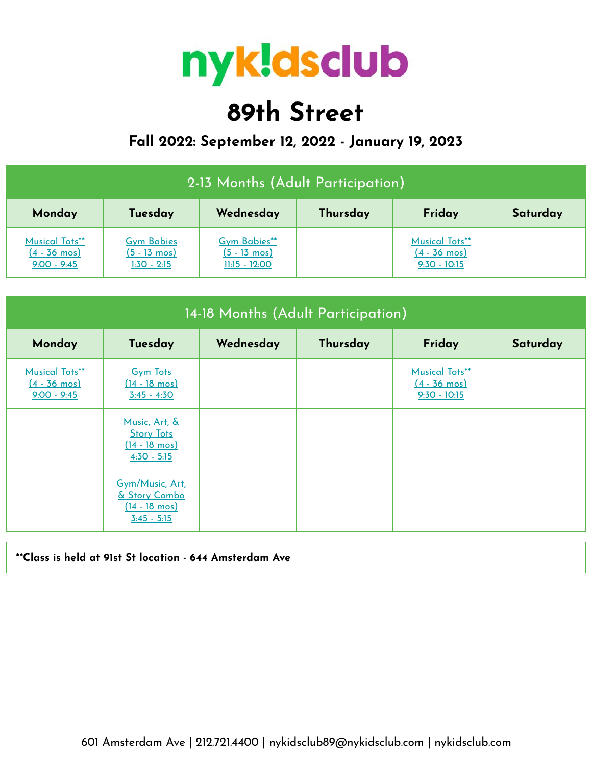

# **89th Street**

# **Fall 2022: September 12, 2022 - January 19, 2023**

| 2-13 Months (Adult Participation)                                |                                                              |                                                           |          |                                                            |          |  |  |
|------------------------------------------------------------------|--------------------------------------------------------------|-----------------------------------------------------------|----------|------------------------------------------------------------|----------|--|--|
| Monday                                                           | Tuesday                                                      | Wednesday                                                 | Thursday | Friday                                                     | Saturday |  |  |
| <b>Musical Tots**</b><br>$(4 - 36 \text{ mos})$<br>$9:00 - 9:45$ | <b>Gym Babies</b><br>$(5 - 13 \text{ mos})$<br>$1:30 - 2:15$ | Gym Babies**<br>$(5 - 13 \text{ mos})$<br>$11:15 - 12:00$ |          | Musical Tots**<br>$(4 - 36 \text{ mos})$<br>$9:30 - 10:15$ |          |  |  |

| 14-18 Months (Adult Participation)                               |                                                                                |           |          |                                                                   |          |  |  |
|------------------------------------------------------------------|--------------------------------------------------------------------------------|-----------|----------|-------------------------------------------------------------------|----------|--|--|
| Monday                                                           | Tuesday                                                                        | Wednesday | Thursday | Friday                                                            | Saturday |  |  |
| <b>Musical Tots**</b><br>$(4 - 36 \text{ mos})$<br>$9:00 - 9:45$ | <b>Gym Tots</b><br>$(14 - 18 \text{ mos})$<br>$3:45 - 4:30$                    |           |          | <b>Musical Tots**</b><br>$(4 - 36 \text{ mos})$<br>$9:30 - 10:15$ |          |  |  |
|                                                                  | Music, Art, &<br><b>Story Tots</b><br>$(14 - 18 \text{ mos})$<br>$4:30 - 5:15$ |           |          |                                                                   |          |  |  |
|                                                                  | Gym/Music, Art.<br>& Story Combo<br>$(14 - 18 \text{ mos})$<br>$3:45 - 5:15$   |           |          |                                                                   |          |  |  |

### **\*\*Class is held at 91st St location - 644 Amsterdam Ave**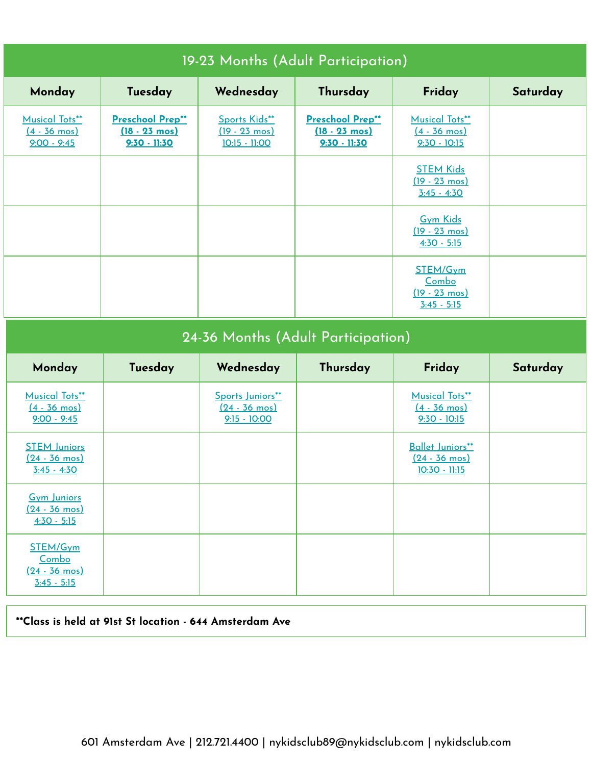| 19-23 Months (Adult Participation)                               |                                                               |                                                           |                                                               |                                                                   |          |  |  |
|------------------------------------------------------------------|---------------------------------------------------------------|-----------------------------------------------------------|---------------------------------------------------------------|-------------------------------------------------------------------|----------|--|--|
| Monday                                                           | Tuesday                                                       | Wednesday                                                 | Thursday                                                      | Friday                                                            | Saturday |  |  |
| <b>Musical Tots**</b><br>$(4 - 36 \text{ mos})$<br>$9:00 - 9:45$ | Preschool Prep**<br>$(18 - 23 \text{ mos})$<br>$9:30 - 11:30$ | Sports Kids**<br>$(19 - 23 \text{ mos})$<br>10:15 - 11:00 | Preschool Prep**<br>$(18 - 23 \text{ mos})$<br>$9:30 - 11:30$ | <b>Musical Tots**</b><br>$(4 - 36 \text{ mos})$<br>$9:30 - 10:15$ |          |  |  |
|                                                                  |                                                               |                                                           |                                                               | <b>STEM Kids</b><br>$(19 - 23 \text{ mos})$<br>$3:45 - 4:30$      |          |  |  |
|                                                                  |                                                               |                                                           |                                                               | <b>Gym Kids</b><br>$(19 - 23 \text{ mos})$<br>$4:30 - 5:15$       |          |  |  |
|                                                                  |                                                               |                                                           |                                                               | STEM/Gym<br>Combo<br>$(19 - 23 \text{ mos})$<br>$3:45 - 5:15$     |          |  |  |

| 24-36 Months (Adult Participation)                               |         |                                                               |          |                                                                   |          |  |  |
|------------------------------------------------------------------|---------|---------------------------------------------------------------|----------|-------------------------------------------------------------------|----------|--|--|
| Monday                                                           | Tuesday | Wednesday                                                     | Thursday | Friday                                                            | Saturday |  |  |
| <b>Musical Tots**</b><br>$(4 - 36 \text{ mos})$<br>$9:00 - 9:45$ |         | Sports Juniors**<br>$(24 - 36 \text{ mos})$<br>$9:15 - 10:00$ |          | <b>Musical Tots**</b><br>$(4 - 36 \text{ mos})$<br>$9:30 - 10:15$ |          |  |  |
| <b>STEM Juniors</b><br>$(24 - 36 \text{ mos})$<br>$3:45 - 4:30$  |         |                                                               |          | Ballet Juniors**<br>$(24 - 36 \text{ mos})$<br>$10:30 - 11:15$    |          |  |  |
| <b>Gym Juniors</b><br>$(24 - 36 \text{ mos})$<br>$4:30 - 5:15$   |         |                                                               |          |                                                                   |          |  |  |
| STEM/Gym<br>Combo<br>$(24 - 36 \text{ mos})$<br>$3:45 - 5:15$    |         |                                                               |          |                                                                   |          |  |  |

**\*\*Class is held at 91st St location - 644 Amsterdam Ave**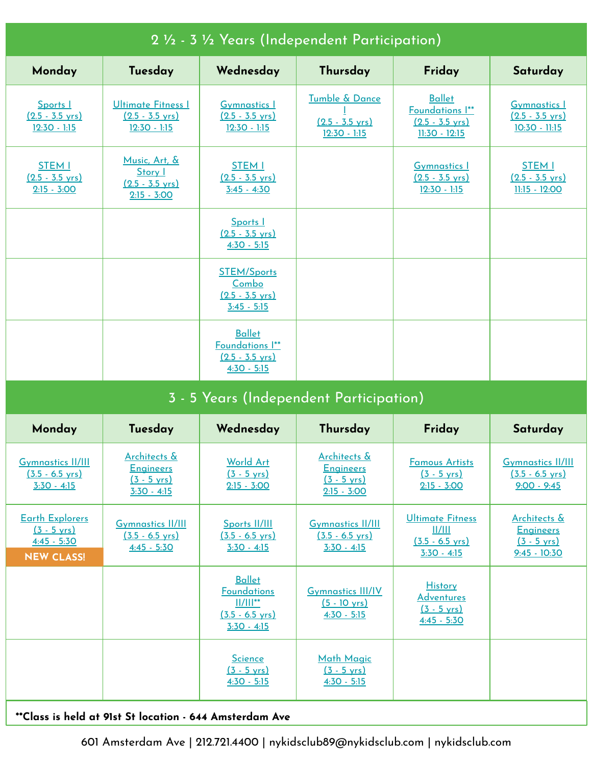| 2 1/2 - 3 1/2 Years (Independent Participation)                                       |                                                                                   |                                                                                                    |                                                                            |                                                                                 |                                                                                        |  |  |
|---------------------------------------------------------------------------------------|-----------------------------------------------------------------------------------|----------------------------------------------------------------------------------------------------|----------------------------------------------------------------------------|---------------------------------------------------------------------------------|----------------------------------------------------------------------------------------|--|--|
| Monday                                                                                | Tuesday                                                                           | Wednesday                                                                                          | Thursday                                                                   | Friday                                                                          | Saturday                                                                               |  |  |
| Sports I<br>$(2.5 - 3.5 \text{ yrs})$<br>$12:30 - 1:15$                               | Ultimate Fitness I<br>$(2.5 - 3.5 \text{ yrs})$<br>$12:30 - 1:15$                 | <b>Gymnastics 1</b><br>$(2.5 - 3.5 \text{ yrs})$<br>$12:30 - 1:15$                                 | Tumble & Dance<br>$(2.5 - 3.5 \text{ yrs})$<br>$12:30 - 1:15$              | <b>Ballet</b><br>Foundations I**<br>$(2.5 - 3.5 \text{ yrs})$<br>11:30 - 12:15  | <b>Gymnastics 1</b><br>$(2.5 - 3.5 \text{ yrs})$<br>$10:30 - 11:15$                    |  |  |
| <b>STEM I</b><br>$(2.5 - 3.5 \text{ yrs})$<br>$2:15 - 3:00$                           | <u>Music, Art, &amp;</u><br>Story I<br>$(2.5 - 3.5 \text{ yrs})$<br>$2:15 - 3:00$ | <b>STEM I</b><br>$(2.5 - 3.5 \text{ yrs})$<br>$3:45 - 4:30$                                        |                                                                            | <b>Gymnastics 1</b><br>$(2.5 - 3.5 \text{ yrs})$<br>$12:30 - 1:15$              | <b>STEM I</b><br>$(2.5 - 3.5 \text{ yrs})$<br>$11:15 - 12:00$                          |  |  |
|                                                                                       |                                                                                   | Sports 1<br>$(2.5 - 3.5 \text{ vrs})$<br>$4:30 - 5:15$                                             |                                                                            |                                                                                 |                                                                                        |  |  |
|                                                                                       |                                                                                   | <b>STEM/Sports</b><br>Combo<br>$(2.5 - 3.5 \text{ vrs})$<br>$3:45 - 5:15$                          |                                                                            |                                                                                 |                                                                                        |  |  |
|                                                                                       |                                                                                   | <b>Ballet</b><br>Foundations I**<br>$(2.5 - 3.5 \text{ yrs})$<br>$4:30 - 5:15$                     |                                                                            |                                                                                 |                                                                                        |  |  |
|                                                                                       |                                                                                   |                                                                                                    |                                                                            |                                                                                 |                                                                                        |  |  |
|                                                                                       |                                                                                   |                                                                                                    | 3 - 5 Years (Independent Participation)                                    |                                                                                 |                                                                                        |  |  |
| Monday                                                                                | Tuesday                                                                           | Wednesday                                                                                          | Thursday                                                                   | Friday                                                                          | Saturday                                                                               |  |  |
| <b>Gymnastics II/III</b><br>$(3.5 - 6.5 \text{ yrs})$<br>$3:30 - 4:15$                | Architects &<br><b>Engineers</b><br>$(3 - 5 \text{ yrs})$<br>$3:30 - 4:15$        | <b>World Art</b><br>$(3 - 5 \text{ yrs})$<br>$2:15 - 3:00$                                         | Architects &<br><b>Engineers</b><br>$(3 - 5 \text{ yrs})$<br>$2:15 - 3:00$ | <b>Famous Artists</b><br>$(3 - 5 \text{ yrs})$<br>$2:15 - 3:00$                 | <b>Gymnastics II/III</b><br>$(3.5 - 6.5 \text{ yrs})$<br>$9:00 - 9:45$                 |  |  |
| <b>Earth Explorers</b><br>$(3 - 5 \text{ yrs})$<br>$4:45 - 5:30$<br><b>NEW CLASS!</b> | <b>Gymnastics II/III</b><br>$(3.5 - 6.5 \text{ yrs})$<br>$4:45 - 5:30$            | Sports II/III<br>$(3.5 - 6.5 \text{ yrs})$<br>$3:30 - 4:15$                                        | <b>Gymnastics II/III</b><br>$(3.5 - 6.5 \text{ yrs})$<br>$3:30 - 4:15$     | <b>Ultimate Fitness</b><br>II/III<br>$(3.5 - 6.5 \text{ yrs})$<br>$3:30 - 4:15$ | <b>Architects &amp;</b><br><b>Engineers</b><br>$(3 - 5 \text{ yrs})$<br>$9:45 - 10:30$ |  |  |
|                                                                                       |                                                                                   | <b>Ballet</b><br><b>Foundations</b><br>$  /   ^{**}$<br>$(3.5 - 6.5 \text{ vrs})$<br>$3:30 - 4:15$ | <b>Gymnastics III/IV</b><br>$(5 - 10 \text{ yrs})$<br>$4:30 - 5:15$        | <b>History</b><br><b>Adventures</b><br>$(3 - 5 \text{ vrs})$<br>$4:45 - 5:30$   |                                                                                        |  |  |
|                                                                                       |                                                                                   | <b>Science</b><br>$(3 - 5 \text{ yrs})$<br>$4:30 - 5:15$                                           | <b>Math Magic</b><br>$(3 - 5 \text{ vrs})$<br>$4:30 - 5:15$                |                                                                                 |                                                                                        |  |  |